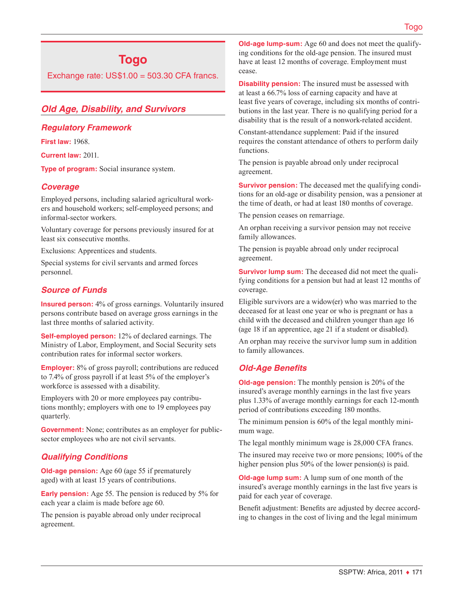# **Togo**

Exchange rate:  $US$1.00 = 503.30$  CFA francs.

# *Old Age, Disability, and Survivors*

### *Regulatory Framework*

**First law:** 1968.

**Current law:** 2011.

**Type of program:** Social insurance system.

# *Coverage*

Employed persons, including salaried agricultural workers and household workers; self-employeed persons; and informal-sector workers.

Voluntary coverage for persons previously insured for at least six consecutive months.

Exclusions: Apprentices and students.

Special systems for civil servants and armed forces personnel.

# *Source of Funds*

**Insured person:** 4% of gross earnings. Voluntarily insured persons contribute based on average gross earnings in the last three months of salaried activity.

**Self-employed person:** 12% of declared earnings. The Ministry of Labor, Employment, and Social Security sets contribution rates for informal sector workers.

**Employer:** 8% of gross payroll; contributions are reduced to 7.4% of gross payroll if at least 5% of the employer's workforce is assessed with a disability.

Employers with 20 or more employees pay contributions monthly; employers with one to 19 employees pay quarterly.

**Government:** None; contributes as an employer for publicsector employees who are not civil servants.

# *Qualifying Conditions*

**Old-age pension:** Age 60 (age 55 if prematurely aged) with at least 15 years of contributions.

**Early pension:** Age 55. The pension is reduced by 5% for each year a claim is made before age 60.

The pension is payable abroad only under reciprocal agreement.

**Old-age lump-sum:** Age 60 and does not meet the qualifying conditions for the old-age pension. The insured must have at least 12 months of coverage. Employment must cease.

**Disability pension:** The insured must be assessed with at least a 66.7% loss of earning capacity and have at least five years of coverage, including six months of contributions in the last year. There is no qualifying period for a disability that is the result of a nonwork-related accident.

Constant-attendance supplement: Paid if the insured requires the constant attendance of others to perform daily functions.

The pension is payable abroad only under reciprocal agreement.

**Survivor pension:** The deceased met the qualifying conditions for an old-age or disability pension, was a pensioner at the time of death, or had at least 180 months of coverage.

The pension ceases on remarriage.

An orphan receiving a survivor pension may not receive family allowances.

The pension is payable abroad only under reciprocal agreement.

**Survivor lump sum:** The deceased did not meet the qualifying conditions for a pension but had at least 12 months of coverage.

Eligible survivors are a widow(er) who was married to the deceased for at least one year or who is pregnant or has a child with the deceased and children younger than age 16 (age 18 if an apprentice, age 21 if a student or disabled).

An orphan may receive the survivor lump sum in addition to family allowances.

# *Old-Age Benefits*

**Old-age pension:** The monthly pension is 20% of the insured's average monthly earnings in the last five years plus 1.33% of average monthly earnings for each 12-month period of contributions exceeding 180 months.

The minimum pension is 60% of the legal monthly minimum wage.

The legal monthly minimum wage is 28,000 CFA francs.

The insured may receive two or more pensions; 100% of the higher pension plus 50% of the lower pension(s) is paid.

**Old-age lump sum:** A lump sum of one month of the insured's average monthly earnings in the last five years is paid for each year of coverage.

Benefit adjustment: Benefits are adjusted by decree according to changes in the cost of living and the legal minimum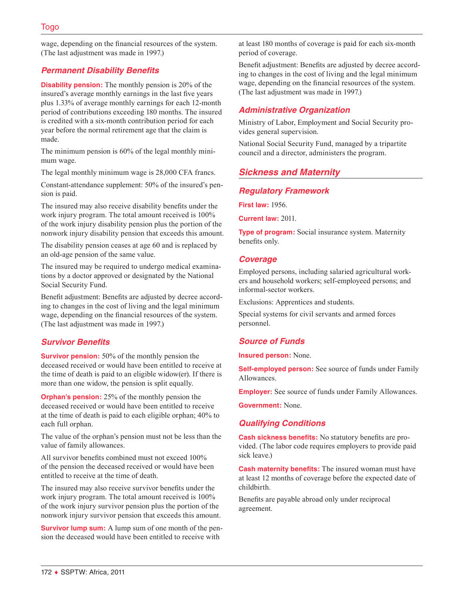wage, depending on the financial resources of the system. (The last adjustment was made in 1997.)

# *Permanent Disability Benefits*

**Disability pension:** The monthly pension is 20% of the insured's average monthly earnings in the last five years plus 1.33% of average monthly earnings for each 12-month period of contributions exceeding 180 months. The insured is credited with a six-month contribution period for each year before the normal retirement age that the claim is made.

The minimum pension is 60% of the legal monthly minimum wage.

The legal monthly minimum wage is 28,000 CFA francs.

Constant-attendance supplement: 50% of the insured's pension is paid.

The insured may also receive disability benefits under the work injury program. The total amount received is 100% of the work injury disability pension plus the portion of the nonwork injury disability pension that exceeds this amount.

The disability pension ceases at age 60 and is replaced by an old-age pension of the same value.

The insured may be required to undergo medical examinations by a doctor approved or designated by the National Social Security Fund.

Benefit adjustment: Benefits are adjusted by decree according to changes in the cost of living and the legal minimum wage, depending on the financial resources of the system. (The last adjustment was made in 1997.)

# *Survivor Benefits*

**Survivor pension:** 50% of the monthly pension the deceased received or would have been entitled to receive at the time of death is paid to an eligible widow(er). If there is more than one widow, the pension is split equally.

**Orphan's pension:** 25% of the monthly pension the deceased received or would have been entitled to receive at the time of death is paid to each eligible orphan; 40% to each full orphan.

The value of the orphan's pension must not be less than the value of family allowances.

All survivor benefits combined must not exceed 100% of the pension the deceased received or would have been entitled to receive at the time of death.

The insured may also receive survivor benefits under the work injury program. The total amount received is 100% of the work injury survivor pension plus the portion of the nonwork injury survivor pension that exceeds this amount.

**Survivor lump sum:** A lump sum of one month of the pension the deceased would have been entitled to receive with

at least 180 months of coverage is paid for each six-month period of coverage.

Benefit adjustment: Benefits are adjusted by decree according to changes in the cost of living and the legal minimum wage, depending on the financial resources of the system. (The last adjustment was made in 1997.)

# *Administrative Organization*

Ministry of Labor, Employment and Social Security provides general supervision.

National Social Security Fund, managed by a tripartite council and a director, administers the program.

# *Sickness and Maternity*

# *Regulatory Framework*

**First law:** 1956.

**Current law:** 2011.

**Type of program:** Social insurance system. Maternity benefits only.

### *Coverage*

Employed persons, including salaried agricultural workers and household workers; self-employeed persons; and informal-sector workers.

Exclusions: Apprentices and students.

Special systems for civil servants and armed forces personnel.

# *Source of Funds*

**Insured person:** None.

**Self-employed person:** See source of funds under Family Allowances.

**Employer:** See source of funds under Family Allowances.

**Government:** None.

# *Qualifying Conditions*

**Cash sickness benefits:** No statutory benefits are provided. (The labor code requires employers to provide paid sick leave.)

**Cash maternity benefits:** The insured woman must have at least 12 months of coverage before the expected date of childbirth.

Benefits are payable abroad only under reciprocal agreement.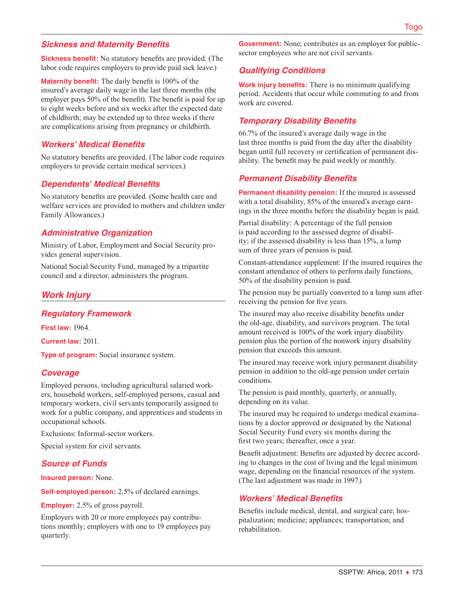## *Sickness and Maternity Benefits*

**Sickness benefit:** No statutory benefits are provided. (The labor code requires employers to provide paid sick leave.)

**Maternity benefit:** The daily benefit is 100% of the insured's average daily wage in the last three months (the employer pays 50% of the benefit). The benefit is paid for up to eight weeks before and six weeks after the expected date of childbirth; may be extended up to three weeks if there are complications arising from pregnancy or childbirth.

### *Workers' Medical Benefits*

No statutory benefits are provided. (The labor code requires employers to provide certain medical services.)

### *Dependents' Medical Benefits*

No statutory benefits are provided. (Some health care and welfare services are provided to mothers and children under Family Allowances.)

### *Administrative Organization*

Ministry of Labor, Employment and Social Security provides general supervision.

National Social Security Fund, managed by a tripartite council and a director, administers the program.

# *Work Injury*

#### *Regulatory Framework*

**First law:** 1964.

**Current law:** 2011.

**Type of program:** Social insurance system.

### *Coverage*

Employed persons, including agricultural salaried workers, household workers, self-employed persons, casual and temporary workers, civil servants temporarily assigned to work for a public company, and apprentices and students in occupational schools.

Exclusions: Informal-sector workers.

Special system for civil servants.

### *Source of Funds*

**Insured person:** None.

**Self-employed person:** 2.5% of declared earnings.

**Employer:** 2.5% of gross payroll.

Employers with 20 or more employees pay contributions monthly; employers with one to 19 employees pay quarterly.

**Government:** None; contributes as an employer for publicsector employees who are not civil servants.

# *Qualifying Conditions*

**Work injury benefits:** There is no minimum qualifying period. Accidents that occur while commuting to and from work are covered.

## *Temporary Disability Benefits*

66.7% of the insured's average daily wage in the last three months is paid from the day after the disability began until full recovery or certification of permanent disability. The benefit may be paid weekly or monthly.

### *Permanent Disability Benefits*

**Permanent disability pension:** If the insured is assessed with a total disability, 85% of the insured's average earnings in the three months before the disability began is paid.

Partial disability: A percentage of the full pension is paid according to the assessed degree of disability; if the assessed disability is less than 15%, a lump sum of three years of pension is paid.

Constant-attendance supplement: If the insured requires the constant attendance of others to perform daily functions, 50% of the disability pension is paid.

The pension may be partially converted to a lump sum after receiving the pension for five years.

The insured may also receive disability benefits under the old-age, disability, and survivors program. The total amount received is 100% of the work injury disability pension plus the portion of the nonwork injury disability pension that exceeds this amount.

The insured may receive work injury permanent disability pension in addition to the old-age pension under certain conditions.

The pension is paid monthly, quarterly, or annually, depending on its value.

The insured may be required to undergo medical examinations by a doctor approved or designated by the National Social Security Fund every six months during the first two years; thereafter, once a year.

Benefit adjustment: Benefits are adjusted by decree according to changes in the cost of living and the legal minimum wage, depending on the financial resources of the system. (The last adjustment was made in 1997.)

### *Workers' Medical Benefits*

Benefits include medical, dental, and surgical care; hospitalization; medicine; appliances; transportation; and rehabilitation.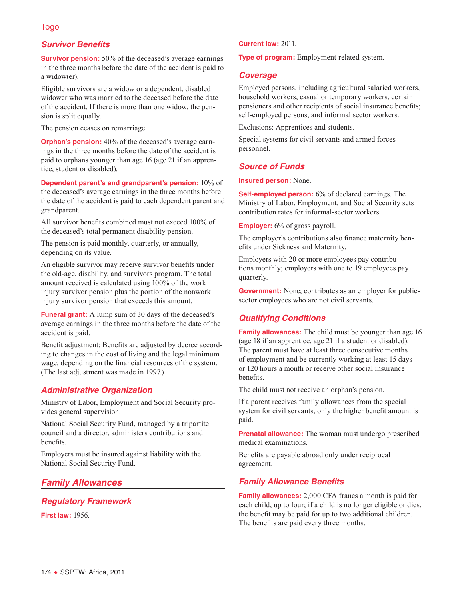# *Survivor Benefits*

**Survivor pension:** 50% of the deceased's average earnings in the three months before the date of the accident is paid to a widow(er).

Eligible survivors are a widow or a dependent, disabled widower who was married to the deceased before the date of the accident. If there is more than one widow, the pension is split equally.

The pension ceases on remarriage.

**Orphan's pension:** 40% of the deceased's average earnings in the three months before the date of the accident is paid to orphans younger than age 16 (age 21 if an apprentice, student or disabled).

**Dependent parent's and grandparent's pension:** 10% of the deceased's average earnings in the three months before the date of the accident is paid to each dependent parent and grandparent.

All survivor benefits combined must not exceed 100% of the deceased's total permanent disability pension.

The pension is paid monthly, quarterly, or annually, depending on its value.

An eligible survivor may receive survivor benefits under the old-age, disability, and survivors program. The total amount received is calculated using 100% of the work injury survivor pension plus the portion of the nonwork injury survivor pension that exceeds this amount.

**Funeral grant:** A lump sum of 30 days of the deceased's average earnings in the three months before the date of the accident is paid.

Benefit adjustment: Benefits are adjusted by decree according to changes in the cost of living and the legal minimum wage, depending on the financial resources of the system. (The last adjustment was made in 1997.)

# *Administrative Organization*

Ministry of Labor, Employment and Social Security provides general supervision.

National Social Security Fund, managed by a tripartite council and a director, administers contributions and benefits.

Employers must be insured against liability with the National Social Security Fund.

# *Family Allowances*

### *Regulatory Framework*

**First law:** 1956.

#### **Current law:** 2011.

**Type of program:** Employment-related system.

#### *Coverage*

Employed persons, including agricultural salaried workers, household workers, casual or temporary workers, certain pensioners and other recipients of social insurance benefits; self-employed persons; and informal sector workers.

Exclusions: Apprentices and students.

Special systems for civil servants and armed forces personnel.

# *Source of Funds*

**Insured person:** None.

**Self-employed person:** 6% of declared earnings. The Ministry of Labor, Employment, and Social Security sets contribution rates for informal-sector workers.

**Employer:** 6% of gross payroll.

The employer's contributions also finance maternity benefits under Sickness and Maternity.

Employers with 20 or more employees pay contributions monthly; employers with one to 19 employees pay quarterly.

**Government:** None; contributes as an employer for publicsector employees who are not civil servants.

# *Qualifying Conditions*

**Family allowances:** The child must be younger than age 16 (age 18 if an apprentice, age 21 if a student or disabled). The parent must have at least three consecutive months of employment and be currently working at least 15 days or 120 hours a month or receive other social insurance benefits.

The child must not receive an orphan's pension.

If a parent receives family allowances from the special system for civil servants, only the higher benefit amount is paid.

**Prenatal allowance:** The woman must undergo prescribed medical examinations.

Benefits are payable abroad only under reciprocal agreement.

# *Family Allowance Benefits*

**Family allowances:** 2,000 CFA francs a month is paid for each child, up to four; if a child is no longer eligible or dies, the benefit may be paid for up to two additional children. The benefits are paid every three months.